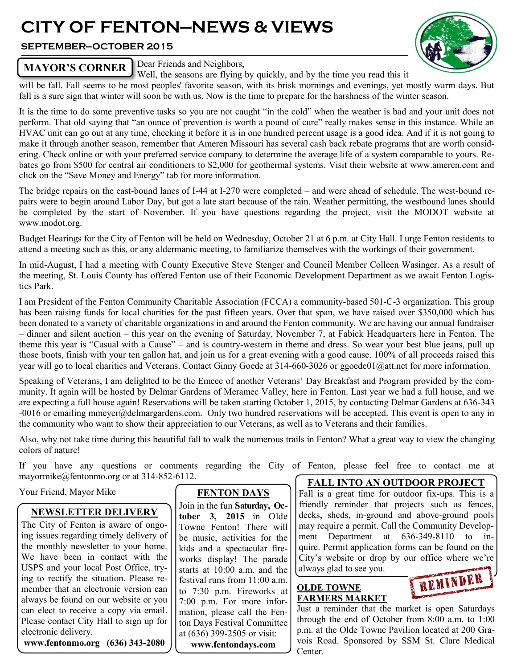# **CITY OF FENTON—NEWS & VIEWS**

## **SEPTEMBER—OCTOBER 2015**



# **MAYOR'S CORNER Dear Friends and Neighbors**,

Well, the seasons are flying by quickly, and by the time you read this it

will be fall. Fall seems to be most peoples' favorite season, with its brisk mornings and evenings, yet mostly warm days. But fall is a sure sign that winter will soon be with us. Now is the time to prepare for the harshness of the winter season.

It is the time to do some preventive tasks so you are not caught "in the cold" when the weather is bad and your unit does not perform. That old saying that "an ounce of prevention is worth a pound of cure" really makes sense in this instance. While an HVAC unit can go out at any time, checking it before it is in one hundred percent usage is a good idea. And if it is not going to make it through another season, remember that Ameren Missouri has several cash back rebate programs that are worth considering. Check online or with your preferred service company to determine the average life of a system comparable to yours. Rebates go from \$500 for central air conditioners to \$2,000 for geothermal systems. Visit their website at www.ameren.com and click on the "Save Money and Energy" tab for more information.

The bridge repairs on the east-bound lanes of I-44 at I-270 were completed – and were ahead of schedule. The west-bound repairs were to begin around Labor Day, but got a late start because of the rain. Weather permitting, the westbound lanes should be completed by the start of November. If you have questions regarding the project, visit the MODOT website at www.modot.org.

Budget Hearings for the City of Fenton will be held on Wednesday, October 21 at 6 p.m. at City Hall. I urge Fenton residents to attend a meeting such as this, or any aldermanic meeting, to familiarize themselves with the workings of their government.

In mid-August, I had a meeting with County Executive Steve Stenger and Council Member Colleen Wasinger. As a result of the meeting, St. Louis County has offered Fenton use of their Economic Development Department as we await Fenton Logistics Park.

I am President of the Fenton Community Charitable Association (FCCA) a community-based 501-C-3 organization. This group has been raising funds for local charities for the past fifteen years. Over that span, we have raised over \$350,000 which has been donated to a variety of charitable organizations in and around the Fenton community. We are having our annual fundraiser – dinner and silent auction – this year on the evening of Saturday, November 7, at Fabick Headquarters here in Fenton. The theme this year is "Casual with a Cause" – and is country-western in theme and dress. So wear your best blue jeans, pull up those boots, finish with your ten gallon hat, and join us for a great evening with a good cause. 100% of all proceeds raised this year will go to local charities and Veterans. Contact Ginny Goede at 314-660-3026 or ggoede01@att.net for more information.

Speaking of Veterans, I am delighted to be the Emcee of another Veterans' Day Breakfast and Program provided by the community. It again will be hosted by Delmar Gardens of Meramec Valley, here in Fenton. Last year we had a full house, and we are expecting a full house again! Reservations will be taken starting October 1, 2015, by contacting Delmar Gardens at 636-343 -0016 or emailing mmeyer@delmargardens.com. Only two hundred reservations will be accepted. This event is open to any in the community who want to show their appreciation to our Veterans, as well as to Veterans and their families.

Also, why not take time during this beautiful fall to walk the numerous trails in Fenton? What a great way to view the changing colors of nature!

If you have any questions or comments regarding the City of Fenton, please feel free to contact me at mayormike@fentonmo.org or at 314-852-6112.

Your Friend, Mayor Mike

## **NEWSLETTER DELIVERY**

The City of Fenton is aware of ongoing issues regarding timely delivery of the monthly newsletter to your home. We have been in contact with the USPS and your local Post Office, trying to rectify the situation. Please remember that an electronic version can always be found on our website or you can elect to receive a copy via email. Please contact City Hall to sign up for electronic delivery.

**www.fentonmo.org (636) 343-2080**

# **FENTON DAYS**

Join in the fun **Saturday, October 3, 2015** in Olde Towne Fenton! There will be music, activities for the kids and a spectacular fireworks display! The parade starts at 10:00 a.m. and the festival runs from 11:00 a.m. to 7:30 p.m. Fireworks at 7:00 p.m. For more information, please call the Fenton Days Festival Committee at (636) 399-2505 or visit: **www.fentondays.com**

## **FALL INTO AN OUTDOOR PROJECT**

Fall is a great time for outdoor fix-ups. This is a friendly reminder that projects such as fences, decks, sheds, in-ground and above-ground pools may require a permit. Call the Community Development Department at 636-349-8110 to inquire. Permit application forms can be found on the City's website or drop by our office where we're always glad to see you.

## **OLDE TOWNE FARMERS MARKET**

REMINDER

Just a reminder that the market is open Saturdays through the end of October from 8:00 a.m. to 1:00 p.m. at the Olde Towne Pavilion located at 200 Gravois Road. Sponsored by SSM St. Clare Medical Center.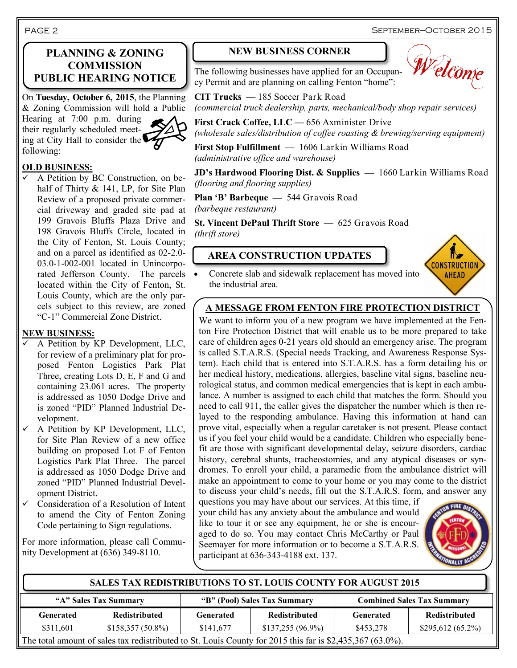PAGE 2

### **PLANNING & ZONING COMMISSION PUBLIC HEARING NOTICE**

On **Tuesday, October 6, 2015**, the Planning & Zoning Commission will hold a Public

Hearing at 7:00 p.m. during their regularly scheduled meeting at City Hall to consider the following:



#### **OLD BUSINESS:**

 A Petition by BC Construction, on behalf of Thirty & 141, LP, for Site Plan Review of a proposed private commercial driveway and graded site pad at 199 Gravois Bluffs Plaza Drive and 198 Gravois Bluffs Circle, located in the City of Fenton, St. Louis County; and on a parcel as identified as 02-2.0- 03.0-1-002-001 located in Unincorporated Jefferson County. The parcels located within the City of Fenton, St. Louis County, which are the only parcels subject to this review, are zoned "C-1" Commercial Zone District.

## **NEW BUSINESS:**

- A Petition by KP Development, LLC, for review of a preliminary plat for proposed Fenton Logistics Park Plat Three, creating Lots D, E, F and G and containing 23.061 acres. The property is addressed as 1050 Dodge Drive and is zoned "PID" Planned Industrial Development.
- $\checkmark$  A Petition by KP Development, LLC, for Site Plan Review of a new office building on proposed Lot F of Fenton Logistics Park Plat Three. The parcel is addressed as 1050 Dodge Drive and zoned "PID" Planned Industrial Development District.
- $\checkmark$  Consideration of a Resolution of Intent to amend the City of Fenton Zoning Code pertaining to Sign regulations.

For more information, please call Community Development at (636) 349-8110.

#### **NEW BUSINESS CORNER**



The following businesses have applied for an Occupancy Permit and are planning on calling Fenton "home":

**CIT Trucks —** 185 Soccer Park Road *(commercial truck dealership, parts, mechanical/body shop repair services)*

**First Crack Coffee, LLC —** 656 Axminister Drive *(wholesale sales/distribution of coffee roasting & brewing/serving equipment)*

**First Stop Fulfillment —** 1606 Larkin Williams Road *(administrative office and warehouse)*

**JD's Hardwood Flooring Dist. & Supplies —** 1660 Larkin Williams Road *(flooring and flooring supplies)*

**Plan 'B' Barbeque —** 544 Gravois Road *(barbeque restaurant)*

**St. Vincent DePaul Thrift Store —** 625 Gravois Road *(thrift store)*

# **AREA CONSTRUCTION UPDATES**



 Concrete slab and sidewalk replacement has moved into the industrial area.

# **A MESSAGE FROM FENTON FIRE PROTECTION DISTRICT**

We want to inform you of a new program we have implemented at the Fenton Fire Protection District that will enable us to be more prepared to take care of children ages 0-21 years old should an emergency arise. The program is called S.T.A.R.S. (Special needs Tracking, and Awareness Response System). Each child that is entered into S.T.A.R.S. has a form detailing his or her medical history, medications, allergies, baseline vital signs, baseline neurological status, and common medical emergencies that is kept in each ambulance. A number is assigned to each child that matches the form. Should you need to call 911, the caller gives the dispatcher the number which is then relayed to the responding ambulance. Having this information at hand can prove vital, especially when a regular caretaker is not present. Please contact us if you feel your child would be a candidate. Children who especially benefit are those with significant developmental delay, seizure disorders, cardiac history, cerebral shunts, tracheostomies, and any atypical diseases or syndromes. To enroll your child, a paramedic from the ambulance district will make an appointment to come to your home or you may come to the district to discuss your child's needs, fill out the S.T.A.R.S. form, and answer any

questions you may have about our services. At this time, if your child has any anxiety about the ambulance and would like to tour it or see any equipment, he or she is encouraged to do so. You may contact Chris McCarthy or Paul Seemayer for more information or to become a S.T.A.R.S. participant at 636-343-4188 ext. 137.



**"A" Sales Tax Summary "B" (Pool) Sales Tax Summary Combined Sales Tax Summary Generated Redistributed Generated Redistributed Generated Redistributed**  $$311,601$   $$158,357 (50.8%)$   $$141,677$   $$137,255 (96.9%)$   $$453,278$   $$295,612 (65.2%)$ **SALES TAX REDISTRIBUTIONS TO ST. LOUIS COUNTY FOR AUGUST 2015** The total amount of sales tax redistributed to St. Louis County for 2015 this far is \$2,435,367 (63.0%).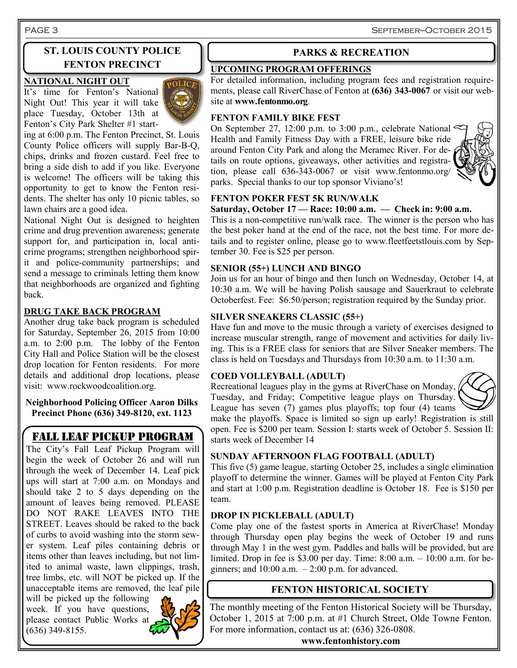# **ST. LOUIS COUNTY POLICE FENTON PRECINCT**

#### **NATIONAL NIGHT OUT**

It's time for Fenton's National Night Out! This year it will take place Tuesday, October 13th at Fenton's City Park Shelter #1 start-



ing at 6:00 p.m. The Fenton Precinct, St. Louis County Police officers will supply Bar-B-Q, chips, drinks and frozen custard. Feel free to bring a side dish to add if you like. Everyone is welcome! The officers will be taking this opportunity to get to know the Fenton residents. The shelter has only 10 picnic tables, so lawn chairs are a good idea.

National Night Out is designed to heighten crime and drug prevention awareness; generate support for, and participation in, local anticrime programs; strengthen neighborhood spirit and police-community partnerships; and send a message to criminals letting them know that neighborhoods are organized and fighting back.

#### **DRUG TAKE BACK PROGRAM**

Another drug take back program is scheduled for Saturday, September 26, 2015 from 10:00 a.m. to 2:00 p.m. The lobby of the Fenton City Hall and Police Station will be the closest drop location for Fenton residents. For more details and additional drop locations, please visit: www.rockwoodcoalition.org.

**Neighborhood Policing Officer Aaron Dilks Precinct Phone (636) 349-8120, ext. 1123**

# FALL LEAF PICKUP PROGRAM

The City's Fall Leaf Pickup Program will begin the week of October 26 and will run through the week of December 14. Leaf pick ups will start at 7:00 a.m. on Mondays and should take 2 to 5 days depending on the amount of leaves being removed. PLEASE DO NOT RAKE LEAVES INTO THE STREET. Leaves should be raked to the back of curbs to avoid washing into the storm sewer system. Leaf piles containing debris or items other than leaves including, but not limited to animal waste, lawn clippings, trash, tree limbs, etc. will NOT be picked up. If the unacceptable items are removed, the leaf pile

will be picked up the following week. If you have questions, please contact Public Works at (636) 349-8155.



#### **PARKS & RECREATION**

#### **UPCOMING PROGRAM OFFERINGS**

For detailed information, including program fees and registration requirements, please call RiverChase of Fenton at **(636) 343-0067** or visit our website at **www.fentonmo.org**.

#### **FENTON FAMILY BIKE FEST**

On September 27, 12:00 p.m. to 3:00 p.m., celebrate National Health and Family Fitness Day with a FREE, leisure bike ride around Fenton City Park and along the Meramec River. For details on route options, giveaways, other activities and registration, please call 636-343-0067 or visit www.fentonmo.org/ parks. Special thanks to our top sponsor Viviano's!



#### **FENTON POKER FEST 5K RUN/WALK**

#### **Saturday, October 17 — Race: 10:00 a.m. — Check in: 9:00 a.m.**

This is a non-competitive run/walk race. The winner is the person who has the best poker hand at the end of the race, not the best time. For more details and to register online, please go to www.fleetfeetstlouis.com by September 30. Fee is \$25 per person.

#### **SENIOR (55+) LUNCH AND BINGO**

Join us for an hour of bingo and then lunch on Wednesday, October 14, at 10:30 a.m. We will be having Polish sausage and Sauerkraut to celebrate Octoberfest. Fee: \$6.50/person; registration required by the Sunday prior.

#### **SILVER SNEAKERS CLASSIC (55+)**

Have fun and move to the music through a variety of exercises designed to increase muscular strength, range of movement and activities for daily living. This is a FREE class for seniors that are Silver Sneaker members. The class is held on Tuesdays and Thursdays from 10:30 a.m. to 11:30 a.m.

#### **COED VOLLEYBALL (ADULT)**

Recreational leagues play in the gyms at RiverChase on Monday, Tuesday, and Friday; Competitive league plays on Thursday. League has seven (7) games plus playoffs; top four (4) teams



make the playoffs. Space is limited so sign up early! Registration is still open. Fee is \$200 per team. Session I: starts week of October 5. Session II: starts week of December 14

#### **SUNDAY AFTERNOON FLAG FOOTBALL (ADULT)**

This five (5) game league, starting October 25, includes a single elimination playoff to determine the winner. Games will be played at Fenton City Park and start at 1:00 p.m. Registration deadline is October 18. Fee is \$150 per team.

#### **DROP IN PICKLEBALL (ADULT)**

Come play one of the fastest sports in America at RiverChase! Monday through Thursday open play begins the week of October 19 and runs through May 1 in the west gym. Paddles and balls will be provided, but are limited. Drop in fee is \$3.00 per day. Time:  $8:00$  a.m.  $-10:00$  a.m. for beginners; and  $10:00$  a.m.  $-2:00$  p.m. for advanced.

## **FENTON HISTORICAL SOCIETY**

The monthly meeting of the Fenton Historical Society will be Thursday, October 1, 2015 at 7:00 p.m. at #1 Church Street, Olde Towne Fenton. For more information, contact us at: (636) 326-0808.

**www.fentonhistory.com**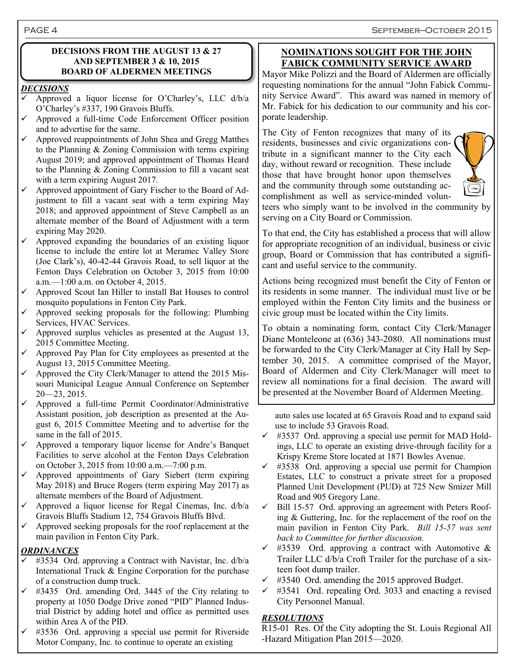PAGE 4 September—October 2015

#### **DECISIONS FROM THE AUGUST 13 & 27 AND SEPTEMBER 3 & 10, 2015 BOARD OF ALDERMEN MEETINGS**

#### *DECISIONS*

- Approved a liquor license for O'Charley's, LLC d/b/a O'Charley's #337, 190 Gravois Bluffs.
- Approved a full-time Code Enforcement Officer position and to advertise for the same.
- $\checkmark$  Approved reappointments of John Shea and Gregg Matthes to the Planning & Zoning Commission with terms expiring August 2019; and approved appointment of Thomas Heard to the Planning & Zoning Commission to fill a vacant seat with a term expiring August 2017.
- $\checkmark$  Approved appointment of Gary Fischer to the Board of Adjustment to fill a vacant seat with a term expiring May 2018; and approved appointment of Steve Campbell as an alternate member of the Board of Adjustment with a term expiring May 2020.
- Approved expanding the boundaries of an existing liquor license to include the entire lot at Meramec Valley Store (Joe Clark's), 40-42-44 Gravois Road, to sell liquor at the Fenton Days Celebration on October 3, 2015 from 10:00 a.m.—1:00 a.m. on October 4, 2015.
- Approved Scout Ian Hiller to install Bat Houses to control mosquito populations in Fenton City Park.
- Approved seeking proposals for the following: Plumbing Services, HVAC Services.
- Approved surplus vehicles as presented at the August 13, 2015 Committee Meeting.
- $\checkmark$  Approved Pay Plan for City employees as presented at the August 13, 2015 Committee Meeting.
- $\checkmark$  Approved the City Clerk/Manager to attend the 2015 Missouri Municipal League Annual Conference on September 20—23, 2015.
- $\checkmark$  Approved a full-time Permit Coordinator/Administrative Assistant position, job description as presented at the August 6, 2015 Committee Meeting and to advertise for the same in the fall of 2015.
- $\checkmark$  Approved a temporary liquor license for Andre's Banquet Facilities to serve alcohol at the Fenton Days Celebration on October 3, 2015 from 10:00 a.m.—7:00 p.m.
- $\checkmark$  Approved appointments of Gary Siebert (term expiring May 2018) and Bruce Rogers (term expiring May 2017) as alternate members of the Board of Adjustment.
- Approved a liquor license for Regal Cinemas, Inc. d/b/a Gravois Bluffs Stadium 12, 754 Gravois Bluffs Blvd.
- $\checkmark$  Approved seeking proposals for the roof replacement at the main pavilion in Fenton City Park.

#### *ORDINANCES*

- #3534 Ord. approving a Contract with Navistar, Inc. d/b/a International Truck & Engine Corporation for the purchase of a construction dump truck.
- $\checkmark$  #3435 Ord. amending Ord. 3445 of the City relating to property at 1050 Dodge Drive zoned "PID" Planned Industrial District by adding hotel and office as permitted uses within Area A of the PID.
- #3536 Ord. approving a special use permit for Riverside Motor Company, Inc. to continue to operate an existing

#### **NOMINATIONS SOUGHT FOR THE JOHN FABICK COMMUNITY SERVICE AWARD**

Mayor Mike Polizzi and the Board of Aldermen are officially requesting nominations for the annual "John Fabick Community Service Award". This award was named in memory of Mr. Fabick for his dedication to our community and his corporate leadership.

The City of Fenton recognizes that many of its residents, businesses and civic organizations contribute in a significant manner to the City each day, without reward or recognition. These include those that have brought honor upon themselves and the community through some outstanding accomplishment as well as service-minded volun-



teers who simply want to be involved in the community by serving on a City Board or Commission.

To that end, the City has established a process that will allow for appropriate recognition of an individual, business or civic group, Board or Commission that has contributed a significant and useful service to the community.

Actions being recognized must benefit the City of Fenton or its residents in some manner. The individual must live or be employed within the Fenton City limits and the business or civic group must be located within the City limits.

To obtain a nominating form, contact City Clerk/Manager Diane Monteleone at (636) 343-2080. All nominations must be forwarded to the City Clerk/Manager at City Hall by September 30, 2015. A committee comprised of the Mayor, Board of Aldermen and City Clerk/Manager will meet to review all nominations for a final decision. The award will be presented at the November Board of Aldermen Meeting.

 auto sales use located at 65 Gravois Road and to expand said use to include 53 Gravois Road.

- $\checkmark$  #3537 Ord. approving a special use permit for MAD Holdings, LLC to operate an existing drive-through facility for a Krispy Kreme Store located at 1871 Bowles Avenue.
- $\checkmark$  #3538 Ord. approving a special use permit for Champion Estates, LLC to construct a private street for a proposed Planned Unit Development (PUD) at 725 New Smizer Mill Road and 905 Gregory Lane.
- $\checkmark$  Bill 15-57 Ord. approving an agreement with Peters Roofing & Guttering, Inc. for the replacement of the roof on the main pavilion in Fenton City Park. *Bill 15-57 was sent back to Committee for further discussion.*
- $\checkmark$  #3539 Ord. approving a contract with Automotive & Trailer LLC d/b/a Croft Trailer for the purchase of a sixteen foot dump trailer.
- $\checkmark$  #3540 Ord. amending the 2015 approved Budget.
- $\checkmark$  #3541 Ord. repealing Ord. 3033 and enacting a revised City Personnel Manual.

#### *RESOLUTIONS*

R15-01 Res. Of the City adopting the St. Louis Regional All -Hazard Mitigation Plan 2015—2020.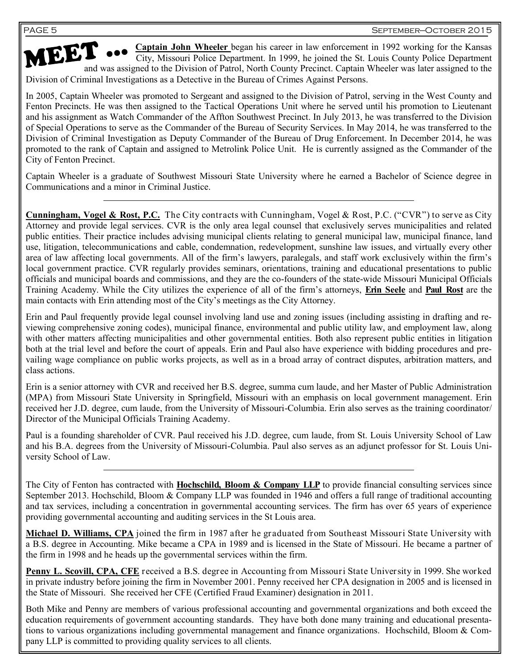**Captain John Wheeler** began his career in law enforcement in 1992 working for the Kansas City, Missouri Police Department. In 1999, he joined the St. Louis County Police Department **ANDEL CONSIST ON A Captain John Wheeler** began his career in law enforcement in 1992 working for the Kansas City, Missouri Police Department. In 1999, he joined the St. Louis County Police Department and was assigned to t Division of Criminal Investigations as a Detective in the Bureau of Crimes Against Persons.

In 2005, Captain Wheeler was promoted to Sergeant and assigned to the Division of Patrol, serving in the West County and Fenton Precincts. He was then assigned to the Tactical Operations Unit where he served until his promotion to Lieutenant and his assignment as Watch Commander of the Affton Southwest Precinct. In July 2013, he was transferred to the Division of Special Operations to serve as the Commander of the Bureau of Security Services. In May 2014, he was transferred to the Division of Criminal Investigation as Deputy Commander of the Bureau of Drug Enforcement. In December 2014, he was promoted to the rank of Captain and assigned to Metrolink Police Unit. He is currently assigned as the Commander of the City of Fenton Precinct.

Captain Wheeler is a graduate of Southwest Missouri State University where he earned a Bachelor of Science degree in Communications and a minor in Criminal Justice.

**Cunningham, Vogel & Rost, P.C.** The City contracts with Cunningham, Vogel & Rost, P.C. ("CVR") to serve as City Attorney and provide legal services. CVR is the only area legal counsel that exclusively serves municipalities and related public entities. Their practice includes advising municipal clients relating to general municipal law, municipal finance, land use, litigation, telecommunications and cable, condemnation, redevelopment, sunshine law issues, and virtually every other area of law affecting local governments. All of the firm's lawyers, paralegals, and staff work exclusively within the firm's local government practice. CVR regularly provides seminars, orientations, training and educational presentations to public officials and municipal boards and commissions, and they are the co-founders of the state-wide Missouri Municipal Officials Training Academy. While the City utilizes the experience of all of the firm's attorneys, **Erin Seele** and **Paul Rost** are the main contacts with Erin attending most of the City's meetings as the City Attorney.

Erin and Paul frequently provide legal counsel involving land use and zoning issues (including assisting in drafting and reviewing comprehensive zoning codes), municipal finance, environmental and public utility law, and employment law, along with other matters affecting municipalities and other governmental entities. Both also represent public entities in litigation both at the trial level and before the court of appeals. Erin and Paul also have experience with bidding procedures and prevailing wage compliance on public works projects, as well as in a broad array of contract disputes, arbitration matters, and class actions.

Erin is a senior attorney with CVR and received her B.S. degree, summa cum laude, and her Master of Public Administration (MPA) from Missouri State University in Springfield, Missouri with an emphasis on local government management. Erin received her J.D. degree, cum laude, from the University of Missouri-Columbia. Erin also serves as the training coordinator/ Director of the Municipal Officials Training Academy.

Paul is a founding shareholder of CVR. Paul received his J.D. degree, cum laude, from St. Louis University School of Law and his B.A. degrees from the University of Missouri-Columbia. Paul also serves as an adjunct professor for St. Louis University School of Law.

The City of Fenton has contracted with **Hochschild, Bloom & Company LLP** to provide financial consulting services since September 2013. Hochschild, Bloom & Company LLP was founded in 1946 and offers a full range of traditional accounting and tax services, including a concentration in governmental accounting services. The firm has over 65 years of experience providing governmental accounting and auditing services in the St Louis area.

**Michael D. Williams, CPA** joined the firm in 1987 after he graduated from Southeast Missouri State University with a B.S. degree in Accounting. Mike became a CPA in 1989 and is licensed in the State of Missouri. He became a partner of the firm in 1998 and he heads up the governmental services within the firm.

**Penny L. Scovill, CPA, CFE** received a B.S. degree in Accounting from Missouri State University in 1999. She worked in private industry before joining the firm in November 2001. Penny received her CPA designation in 2005 and is licensed in the State of Missouri. She received her CFE (Certified Fraud Examiner) designation in 2011.

Both Mike and Penny are members of various professional accounting and governmental organizations and both exceed the education requirements of government accounting standards. They have both done many training and educational presentations to various organizations including governmental management and finance organizations. Hochschild, Bloom & Company LLP is committed to providing quality services to all clients.